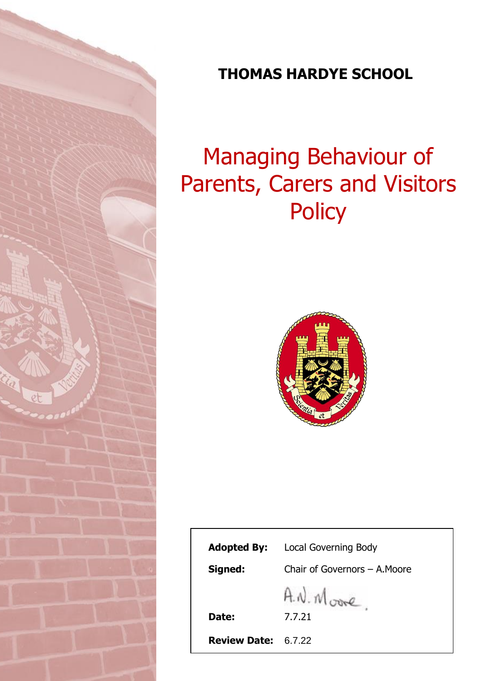

# **THOMAS HARDYE SCHOOL**

# Managing Behaviour of Parents, Carers and Visitors **Policy**



| <b>Adopted By:</b>  | <b>Local Governing Body</b>   |
|---------------------|-------------------------------|
| Signed:             | Chair of Governors - A. Moore |
|                     | A.N. Moore                    |
| Date:               | 7.7.21                        |
| <b>Review Date:</b> | 6.7.22                        |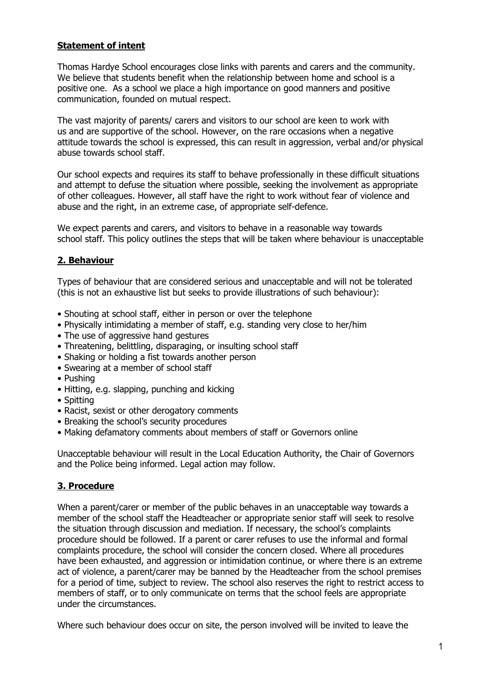# **Statement of intent**

Thomas Hardye School encourages close links with parents and carers and the community. We believe that students benefit when the relationship between home and school is a positive one. As a school we place a high importance on good manners and positive communication, founded on mutual respect.

The vast majority of parents/ carers and visitors to our school are keen to work with us and are supportive of the school. However, on the rare occasions when a negative attitude towards the school is expressed, this can result in aggression, verbal and/or physical abuse towards school staff.

Our school expects and requires its staff to behave professionally in these difficult situations and attempt to defuse the situation where possible, seeking the involvement as appropriate of other colleagues. However, all staff have the right to work without fear of violence and abuse and the right, in an extreme case, of appropriate self-defence.

We expect parents and carers, and visitors to behave in a reasonable way towards school staff. This policy outlines the steps that will be taken where behaviour is unacceptable

# **2. Behaviour**

Types of behaviour that are considered serious and unacceptable and will not be tolerated (this is not an exhaustive list but seeks to provide illustrations of such behaviour):

- Shouting at school staff, either in person or over the telephone
- Physically intimidating a member of staff, e.g. standing very close to her/him
- The use of aggressive hand gestures
- Threatening, belittling, disparaging, or insulting school staff
- Shaking or holding a fist towards another person
- Swearing at a member of school staff
- Pushing
- Hitting, e.g. slapping, punching and kicking
- Spitting
- Racist, sexist or other derogatory comments
- Breaking the school's security procedures
- Making defamatory comments about members of staff or Governors online

Unacceptable behaviour will result in the Local Education Authority, the Chair of Governors and the Police being informed. Legal action may follow.

# **3. Procedure**

When a parent/carer or member of the public behaves in an unacceptable way towards a member of the school staff the Headteacher or appropriate senior staff will seek to resolve the situation through discussion and mediation. If necessary, the school's complaints procedure should be followed. If a parent or carer refuses to use the informal and formal complaints procedure, the school will consider the concern closed. Where all procedures have been exhausted, and aggression or intimidation continue, or where there is an extreme act of violence, a parent/carer may be banned by the Headteacher from the school premises for a period of time, subject to review. The school also reserves the right to restrict access to members of staff, or to only communicate on terms that the school feels are appropriate under the circumstances.

Where such behaviour does occur on site, the person involved will be invited to leave the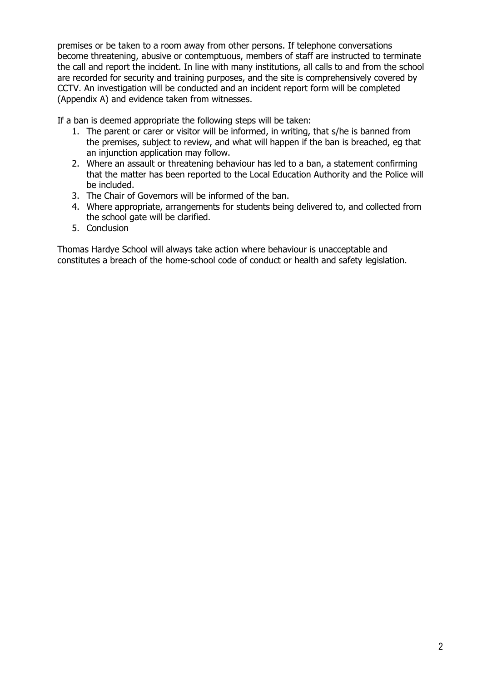premises or be taken to a room away from other persons. If telephone conversations become threatening, abusive or contemptuous, members of staff are instructed to terminate the call and report the incident. In line with many institutions, all calls to and from the school are recorded for security and training purposes, and the site is comprehensively covered by CCTV. An investigation will be conducted and an incident report form will be completed (Appendix A) and evidence taken from witnesses.

If a ban is deemed appropriate the following steps will be taken:

- 1. The parent or carer or visitor will be informed, in writing, that s/he is banned from the premises, subject to review, and what will happen if the ban is breached, eg that an injunction application may follow.
- 2. Where an assault or threatening behaviour has led to a ban, a statement confirming that the matter has been reported to the Local Education Authority and the Police will be included.
- 3. The Chair of Governors will be informed of the ban.
- 4. Where appropriate, arrangements for students being delivered to, and collected from the school gate will be clarified.
- 5. Conclusion

Thomas Hardye School will always take action where behaviour is unacceptable and constitutes a breach of the home-school code of conduct or health and safety legislation.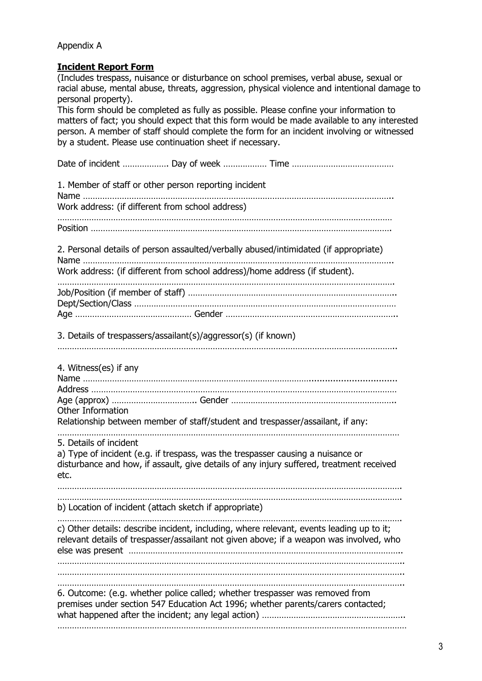#### Appendix A

#### **Incident Report Form**

(Includes trespass, nuisance or disturbance on school premises, verbal abuse, sexual or racial abuse, mental abuse, threats, aggression, physical violence and intentional damage to personal property). This form should be completed as fully as possible. Please confine your information to matters of fact; you should expect that this form would be made available to any interested person. A member of staff should complete the form for an incident involving or witnessed by a student. Please use continuation sheet if necessary. Date of incident ………………. Day of week ……………… Time …………………………………… 1. Member of staff or other person reporting incident Name ……………………………………………………………………………………………………………….. Work address: (if different from school address) ………………………………………………………………………………………………………………………… Position ……………………………………………………………………………………………………………. 2. Personal details of person assaulted/verbally abused/intimidated (if appropriate) Name ……………………………………………………………………………………………………………….. Work address: (if different from school address)/home address (if student). …………………………………………………………………………………………………………………………. Job/Position (if member of staff) ………………………………………………………………………….. Dept/Section/Class ……………………………………………………………………………………………… Age ………………………………………… Gender …………………………………………………………….. 3. Details of trespassers/assailant(s)/aggressor(s) (if known) ………………………………………………………………………………………………………………………….. 4. Witness(es) if any Name …………………………………………………………………………………................................. Address ……………………………………………………………………………………………………………… Age (approx) …………………………….. Gender ………………………………………………………….. Other Information Relationship between member of staff/student and trespasser/assailant, if any: …………………………………………………………………………………………………………………………… 5. Details of incident a) Type of incident (e.g. if trespass, was the trespasser causing a nuisance or disturbance and how, if assault, give details of any injury suffered, treatment received etc. ……………………………………………………………………………………………………………………………. ……………………………………………………………………………………………………………………………. b) Location of incident (attach sketch if appropriate) ……………………………………………………………………………………………………………………………. c) Other details: describe incident, including, where relevant, events leading up to it; relevant details of trespasser/assailant not given above; if a weapon was involved, who else was present ………………………………………………………………………………………………….. …………………………………………………………………………………………………………………………….. …………………………………………………………………………………………………………………………….. …………………………………………………………………………………………………………………………….. 6. Outcome: (e.g. whether police called; whether trespasser was removed from premises under section 547 Education Act 1996; whether parents/carers contacted; what happened after the incident; any legal action) ………………………………………………………………………… ………………………………………………………………………………………………………………………………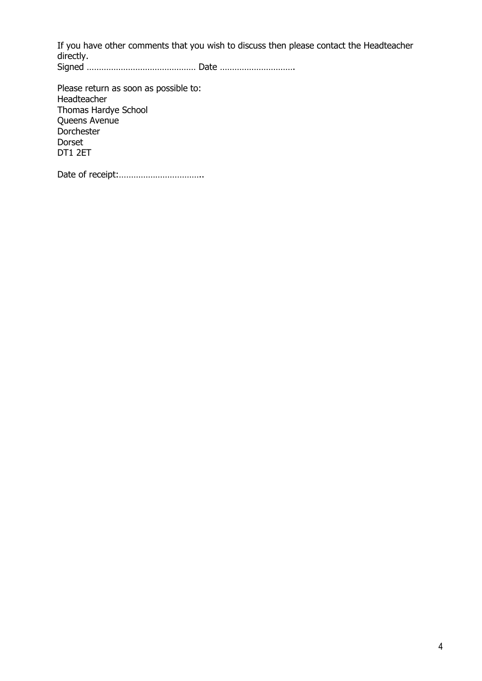If you have other comments that you wish to discuss then please contact the Headteacher directly. Signed ……………………………………… Date ………………………….

Please return as soon as possible to: Headteacher Thomas Hardye School Queens Avenue **Dorchester** Dorset DT1 2ET

Date of receipt:……………………………..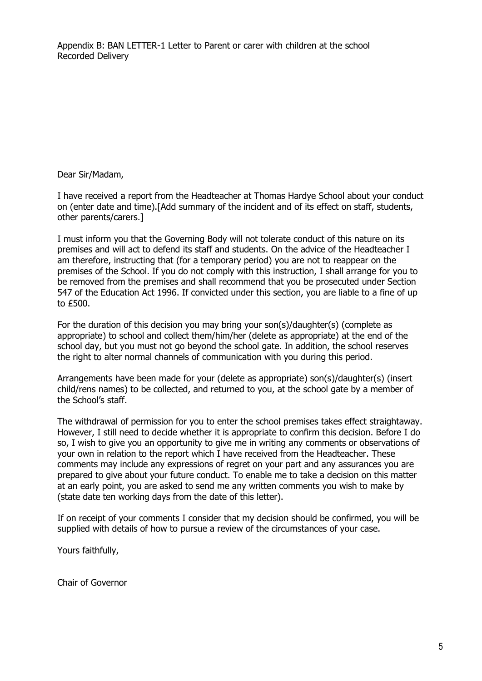Appendix B: BAN LETTER-1 Letter to Parent or carer with children at the school Recorded Delivery

Dear Sir/Madam,

I have received a report from the Headteacher at Thomas Hardye School about your conduct on (enter date and time).[Add summary of the incident and of its effect on staff, students, other parents/carers.]

I must inform you that the Governing Body will not tolerate conduct of this nature on its premises and will act to defend its staff and students. On the advice of the Headteacher I am therefore, instructing that (for a temporary period) you are not to reappear on the premises of the School. If you do not comply with this instruction, I shall arrange for you to be removed from the premises and shall recommend that you be prosecuted under Section 547 of the Education Act 1996. If convicted under this section, you are liable to a fine of up to £500.

For the duration of this decision you may bring your son(s)/daughter(s) (complete as appropriate) to school and collect them/him/her (delete as appropriate) at the end of the school day, but you must not go beyond the school gate. In addition, the school reserves the right to alter normal channels of communication with you during this period.

Arrangements have been made for your (delete as appropriate) son(s)/daughter(s) (insert child/rens names) to be collected, and returned to you, at the school gate by a member of the School's staff.

The withdrawal of permission for you to enter the school premises takes effect straightaway. However, I still need to decide whether it is appropriate to confirm this decision. Before I do so, I wish to give you an opportunity to give me in writing any comments or observations of your own in relation to the report which I have received from the Headteacher. These comments may include any expressions of regret on your part and any assurances you are prepared to give about your future conduct. To enable me to take a decision on this matter at an early point, you are asked to send me any written comments you wish to make by (state date ten working days from the date of this letter).

If on receipt of your comments I consider that my decision should be confirmed, you will be supplied with details of how to pursue a review of the circumstances of your case.

Yours faithfully,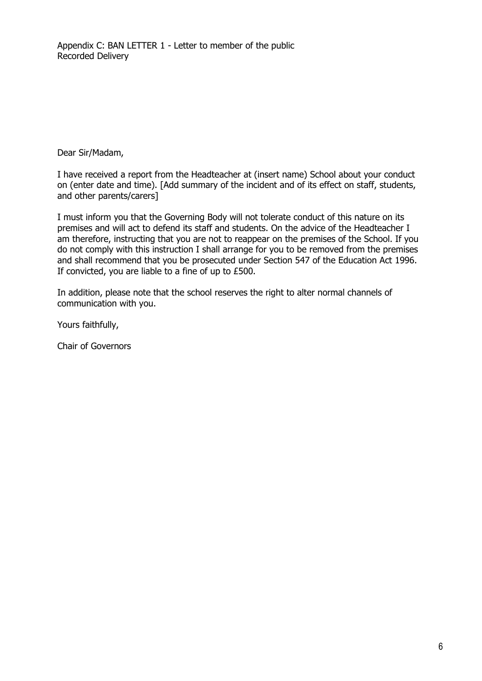Dear Sir/Madam,

I have received a report from the Headteacher at (insert name) School about your conduct on (enter date and time). [Add summary of the incident and of its effect on staff, students, and other parents/carers]

I must inform you that the Governing Body will not tolerate conduct of this nature on its premises and will act to defend its staff and students. On the advice of the Headteacher I am therefore, instructing that you are not to reappear on the premises of the School. If you do not comply with this instruction I shall arrange for you to be removed from the premises and shall recommend that you be prosecuted under Section 547 of the Education Act 1996. If convicted, you are liable to a fine of up to £500.

In addition, please note that the school reserves the right to alter normal channels of communication with you.

Yours faithfully,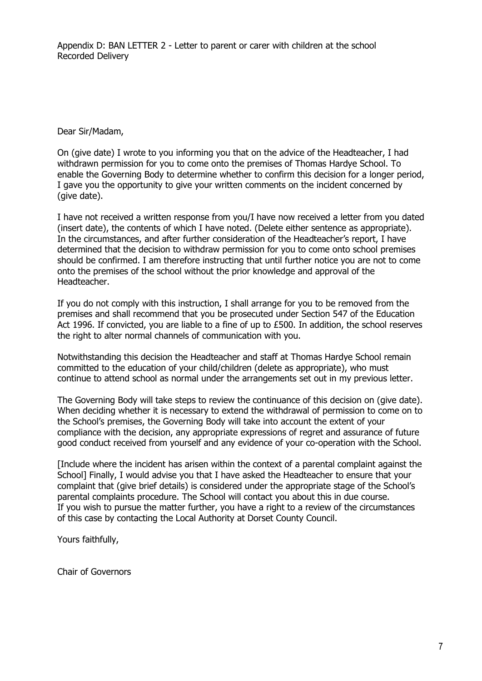Appendix D: BAN LETTER 2 - Letter to parent or carer with children at the school Recorded Delivery

Dear Sir/Madam,

On (give date) I wrote to you informing you that on the advice of the Headteacher, I had withdrawn permission for you to come onto the premises of Thomas Hardye School. To enable the Governing Body to determine whether to confirm this decision for a longer period, I gave you the opportunity to give your written comments on the incident concerned by (give date).

I have not received a written response from you/I have now received a letter from you dated (insert date), the contents of which I have noted. (Delete either sentence as appropriate). In the circumstances, and after further consideration of the Headteacher's report, I have determined that the decision to withdraw permission for you to come onto school premises should be confirmed. I am therefore instructing that until further notice you are not to come onto the premises of the school without the prior knowledge and approval of the Headteacher.

If you do not comply with this instruction, I shall arrange for you to be removed from the premises and shall recommend that you be prosecuted under Section 547 of the Education Act 1996. If convicted, you are liable to a fine of up to £500. In addition, the school reserves the right to alter normal channels of communication with you.

Notwithstanding this decision the Headteacher and staff at Thomas Hardye School remain committed to the education of your child/children (delete as appropriate), who must continue to attend school as normal under the arrangements set out in my previous letter.

The Governing Body will take steps to review the continuance of this decision on (give date). When deciding whether it is necessary to extend the withdrawal of permission to come on to the School's premises, the Governing Body will take into account the extent of your compliance with the decision, any appropriate expressions of regret and assurance of future good conduct received from yourself and any evidence of your co-operation with the School.

[Include where the incident has arisen within the context of a parental complaint against the School] Finally, I would advise you that I have asked the Headteacher to ensure that your complaint that (give brief details) is considered under the appropriate stage of the School's parental complaints procedure. The School will contact you about this in due course. If you wish to pursue the matter further, you have a right to a review of the circumstances of this case by contacting the Local Authority at Dorset County Council.

Yours faithfully,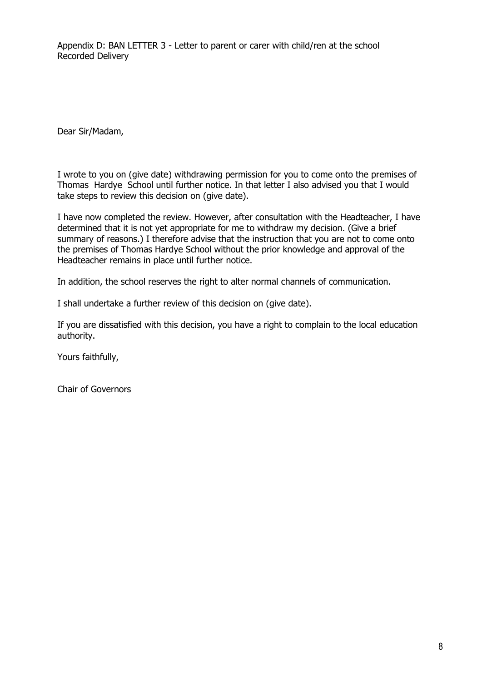Appendix D: BAN LETTER 3 - Letter to parent or carer with child/ren at the school Recorded Delivery

Dear Sir/Madam,

I wrote to you on (give date) withdrawing permission for you to come onto the premises of Thomas Hardye School until further notice. In that letter I also advised you that I would take steps to review this decision on (give date).

I have now completed the review. However, after consultation with the Headteacher, I have determined that it is not yet appropriate for me to withdraw my decision. (Give a brief summary of reasons.) I therefore advise that the instruction that you are not to come onto the premises of Thomas Hardye School without the prior knowledge and approval of the Headteacher remains in place until further notice.

In addition, the school reserves the right to alter normal channels of communication.

I shall undertake a further review of this decision on (give date).

If you are dissatisfied with this decision, you have a right to complain to the local education authority.

Yours faithfully,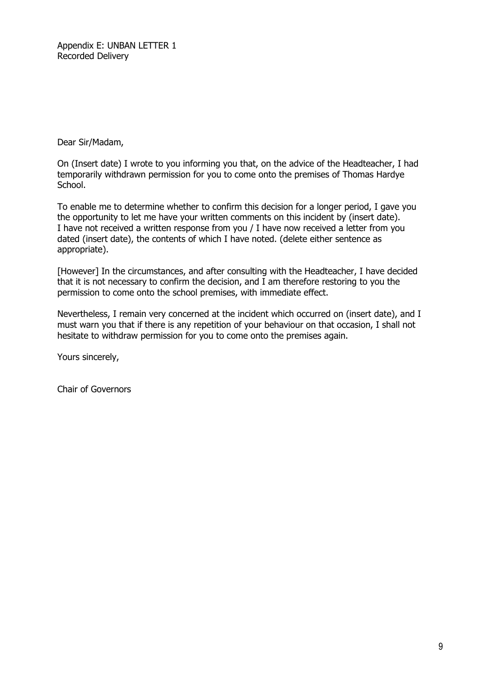Appendix E: UNBAN LETTER 1 Recorded Delivery

Dear Sir/Madam,

On (Insert date) I wrote to you informing you that, on the advice of the Headteacher, I had temporarily withdrawn permission for you to come onto the premises of Thomas Hardye School.

To enable me to determine whether to confirm this decision for a longer period, I gave you the opportunity to let me have your written comments on this incident by (insert date). I have not received a written response from you / I have now received a letter from you dated (insert date), the contents of which I have noted. (delete either sentence as appropriate).

[However] In the circumstances, and after consulting with the Headteacher, I have decided that it is not necessary to confirm the decision, and I am therefore restoring to you the permission to come onto the school premises, with immediate effect.

Nevertheless, I remain very concerned at the incident which occurred on (insert date), and I must warn you that if there is any repetition of your behaviour on that occasion, I shall not hesitate to withdraw permission for you to come onto the premises again.

Yours sincerely,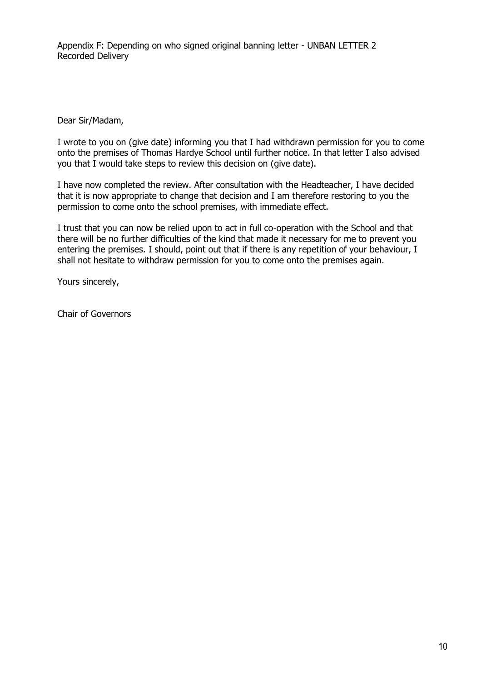Appendix F: Depending on who signed original banning letter - UNBAN LETTER 2 Recorded Delivery

Dear Sir/Madam,

I wrote to you on (give date) informing you that I had withdrawn permission for you to come onto the premises of Thomas Hardye School until further notice. In that letter I also advised you that I would take steps to review this decision on (give date).

I have now completed the review. After consultation with the Headteacher, I have decided that it is now appropriate to change that decision and I am therefore restoring to you the permission to come onto the school premises, with immediate effect.

I trust that you can now be relied upon to act in full co-operation with the School and that there will be no further difficulties of the kind that made it necessary for me to prevent you entering the premises. I should, point out that if there is any repetition of your behaviour, I shall not hesitate to withdraw permission for you to come onto the premises again.

Yours sincerely,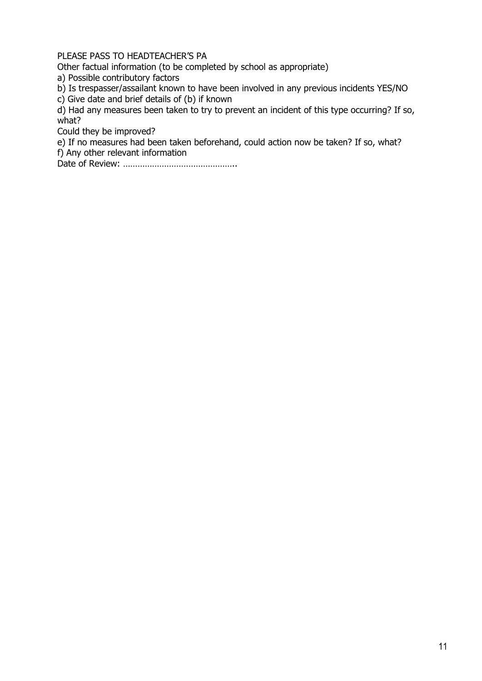PLEASE PASS TO HEADTEACHER'S PA

Other factual information (to be completed by school as appropriate)

a) Possible contributory factors

b) Is trespasser/assailant known to have been involved in any previous incidents YES/NO

c) Give date and brief details of (b) if known

d) Had any measures been taken to try to prevent an incident of this type occurring? If so, what?

Could they be improved?

e) If no measures had been taken beforehand, could action now be taken? If so, what? f) Any other relevant information

Date of Review: ………………………………………..